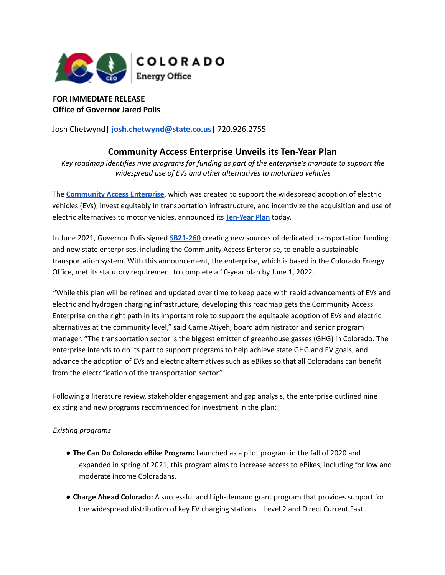

**FOR IMMEDIATE RELEASE Office of Governor Jared Polis**

Josh Chetwynd| **josh.chetwynd@state.co.us**| 720.926.2755

## **Community Access Enterprise Unveils its Ten-Year Plan**

*Key roadmap identifies nine programs for funding as part of the enterprise's mandate to support the widespread use of EVs and other alternatives to motorized vehicles*

The **[Community](https://energyoffice.colorado.gov/boards-commissions/community-access-enterprise) Access Enterprise**, which was created to support the widespread adoption of electric vehicles (EVs), invest equitably in transportation infrastructure, and incentivize the acquisition and use of electric alternatives to motor vehicles, announced its **[Ten-Year](https://drive.google.com/file/d/1tDKc3FbI-pxpqNxkpLlfZD3VvRLXW5HH/view?usp=sharing) Plan** today.

In June 2021, Governor Polis signed **[SB21-260](https://leg.colorado.gov/bills/sb21-260)** creating new sources of dedicated transportation funding and new state enterprises, including the Community Access Enterprise, to enable a sustainable transportation system. With this announcement, the enterprise, which is based in the Colorado Energy Office, met its statutory requirement to complete a 10-year plan by June 1, 2022.

"While this plan will be refined and updated over time to keep pace with rapid advancements of EVs and electric and hydrogen charging infrastructure, developing this roadmap gets the Community Access Enterprise on the right path in its important role to support the equitable adoption of EVs and electric alternatives at the community level," said Carrie Atiyeh, board administrator and senior program manager. "The transportation sector is the biggest emitter of greenhouse gasses (GHG) in Colorado. The enterprise intends to do its part to support programs to help achieve state GHG and EV goals, and advance the adoption of EVs and electric alternatives such as eBikes so that all Coloradans can benefit from the electrification of the transportation sector."

Following a literature review, stakeholder engagement and gap analysis, the enterprise outlined nine existing and new programs recommended for investment in the plan:

## *Existing programs*

- **The Can Do Colorado eBike Program:** Launched as a pilot program in the fall of 2020 and expanded in spring of 2021, this program aims to increase access to eBikes, including for low and moderate income Coloradans.
- **Charge Ahead Colorado:** A successful and high-demand grant program that provides support for the widespread distribution of key EV charging stations – Level 2 and Direct Current Fast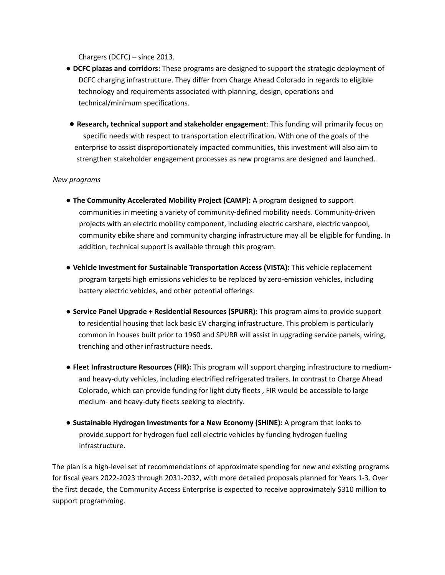Chargers (DCFC) – since 2013.

- **● DCFC plazas and corridors:** These programs are designed to support the strategic deployment of DCFC charging infrastructure. They differ from Charge Ahead Colorado in regards to eligible technology and requirements associated with planning, design, operations and technical/minimum specifications.
- **● Research, technical support and stakeholder engagement**: This funding will primarily focus on specific needs with respect to transportation electrification. With one of the goals of the enterprise to assist disproportionately impacted communities, this investment will also aim to strengthen stakeholder engagement processes as new programs are designed and launched.

## *New programs*

- **The Community Accelerated Mobility Project (CAMP):** A program designed to support communities in meeting a variety of community-defined mobility needs. Community-driven projects with an electric mobility component, including electric carshare, electric vanpool, community ebike share and community charging infrastructure may all be eligible for funding. In addition, technical support is available through this program.
- **● Vehicle Investment for Sustainable Transportation Access (VISTA):** This vehicle replacement program targets high emissions vehicles to be replaced by zero-emission vehicles, including battery electric vehicles, and other potential offerings.
- **Service Panel Upgrade + Residential Resources (SPURR):** This program aims to provide support to residential housing that lack basic EV charging infrastructure. This problem is particularly common in houses built prior to 1960 and SPURR will assist in upgrading service panels, wiring, trenching and other infrastructure needs.
- **Fleet Infrastructure Resources (FIR):** This program will support charging infrastructure to mediumand heavy-duty vehicles, including electrified refrigerated trailers. In contrast to Charge Ahead Colorado, which can provide funding for light duty fleets , FIR would be accessible to large medium- and heavy-duty fleets seeking to electrify.
- **Sustainable Hydrogen Investments for a New Economy (SHINE):** A program that looks to provide support for hydrogen fuel cell electric vehicles by funding hydrogen fueling infrastructure.

The plan is a high-level set of recommendations of approximate spending for new and existing programs for fiscal years 2022-2023 through 2031-2032, with more detailed proposals planned for Years 1-3. Over the first decade, the Community Access Enterprise is expected to receive approximately \$310 million to support programming.